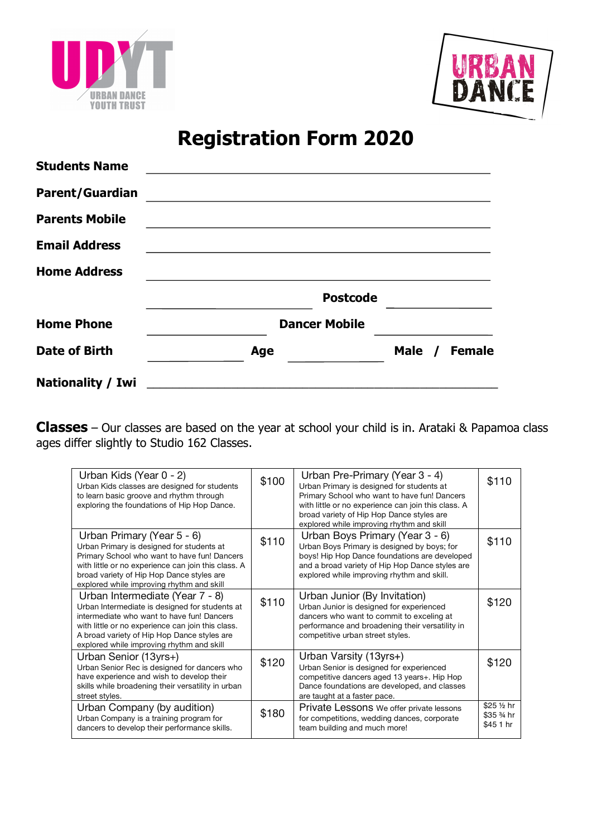



## **Registration Form 2020**

| <b>Students Name</b>   |                      |        |               |
|------------------------|----------------------|--------|---------------|
| <b>Parent/Guardian</b> |                      |        |               |
| <b>Parents Mobile</b>  |                      |        |               |
| <b>Email Address</b>   |                      |        |               |
| <b>Home Address</b>    |                      |        |               |
|                        | <b>Postcode</b>      |        |               |
| <b>Home Phone</b>      | <b>Dancer Mobile</b> |        |               |
| <b>Date of Birth</b>   | Age                  | Male / | <b>Female</b> |
| Nationality / Iwi      |                      |        |               |

**Classes** – Our classes are based on the year at school your child is in. Arataki & Papamoa class ages differ slightly to Studio 162 Classes.

| Urban Kids (Year 0 - 2)<br>Urban Kids classes are designed for students<br>to learn basic groove and rhythm through<br>exploring the foundations of Hip Hop Dance.                                                                                                               | \$100 | Urban Pre-Primary (Year 3 - 4)<br>Urban Primary is designed for students at<br>Primary School who want to have fun! Dancers<br>with little or no experience can join this class. A<br>broad variety of Hip Hop Dance styles are<br>explored while improving rhythm and skill | \$110                                 |
|----------------------------------------------------------------------------------------------------------------------------------------------------------------------------------------------------------------------------------------------------------------------------------|-------|------------------------------------------------------------------------------------------------------------------------------------------------------------------------------------------------------------------------------------------------------------------------------|---------------------------------------|
| Urban Primary (Year 5 - 6)<br>Urban Primary is designed for students at<br>Primary School who want to have fun! Dancers<br>with little or no experience can join this class. A<br>broad variety of Hip Hop Dance styles are<br>explored while improving rhythm and skill         | \$110 | Urban Boys Primary (Year 3 - 6)<br>Urban Boys Primary is designed by boys; for<br>boys! Hip Hop Dance foundations are developed<br>and a broad variety of Hip Hop Dance styles are<br>explored while improving rhythm and skill.                                             | \$110                                 |
| Urban Intermediate (Year 7 - 8)<br>Urban Intermediate is designed for students at<br>intermediate who want to have fun! Dancers<br>with little or no experience can join this class.<br>A broad variety of Hip Hop Dance styles are<br>explored while improving rhythm and skill | \$110 | Urban Junior (By Invitation)<br>Urban Junior is designed for experienced<br>dancers who want to commit to exceling at<br>performance and broadening their versatility in<br>competitive urban street styles.                                                                 | \$120                                 |
| Urban Senior (13yrs+)<br>Urban Senior Rec is designed for dancers who<br>have experience and wish to develop their<br>skills while broadening their versatility in urban<br>street styles.                                                                                       | \$120 | Urban Varsity (13yrs+)<br>Urban Senior is designed for experienced<br>competitive dancers aged 13 years+. Hip Hop<br>Dance foundations are developed, and classes<br>are taught at a faster pace.                                                                            | \$120                                 |
| Urban Company (by audition)<br>Urban Company is a training program for<br>dancers to develop their performance skills.                                                                                                                                                           | \$180 | Private Lessons We offer private lessons<br>for competitions, wedding dances, corporate<br>team building and much more!                                                                                                                                                      | \$25 1/2 hr<br>\$35 % hr<br>\$45 1 hr |